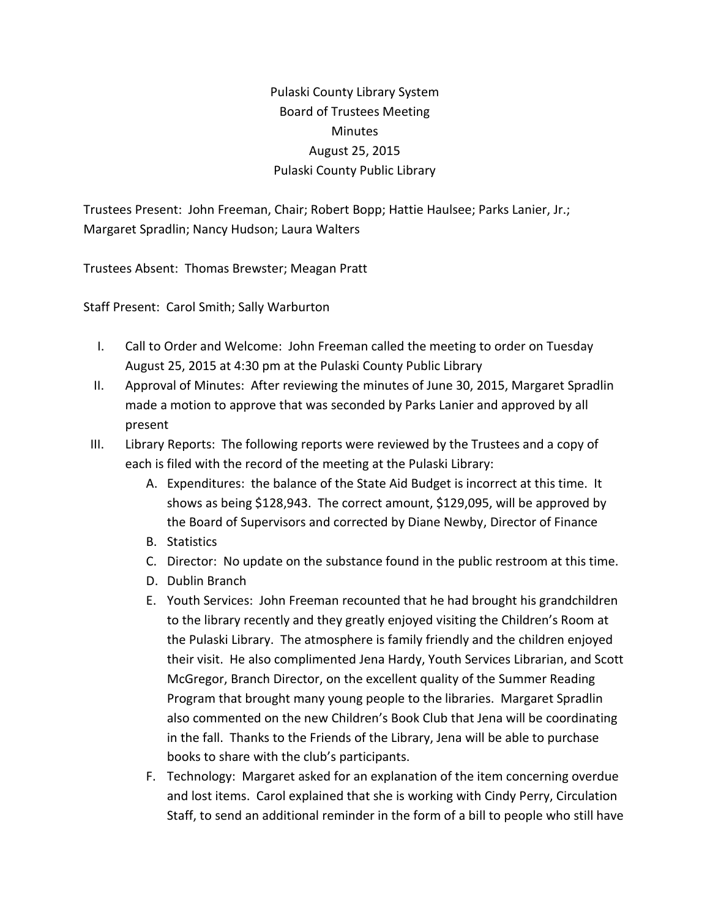## Pulaski County Library System Board of Trustees Meeting Minutes August 25, 2015 Pulaski County Public Library

Trustees Present: John Freeman, Chair; Robert Bopp; Hattie Haulsee; Parks Lanier, Jr.; Margaret Spradlin; Nancy Hudson; Laura Walters

Trustees Absent: Thomas Brewster; Meagan Pratt

Staff Present: Carol Smith; Sally Warburton

- I. Call to Order and Welcome: John Freeman called the meeting to order on Tuesday August 25, 2015 at 4:30 pm at the Pulaski County Public Library
- II. Approval of Minutes: After reviewing the minutes of June 30, 2015, Margaret Spradlin made a motion to approve that was seconded by Parks Lanier and approved by all present
- III. Library Reports: The following reports were reviewed by the Trustees and a copy of each is filed with the record of the meeting at the Pulaski Library:
	- A. Expenditures: the balance of the State Aid Budget is incorrect at this time. It shows as being \$128,943. The correct amount, \$129,095, will be approved by the Board of Supervisors and corrected by Diane Newby, Director of Finance
	- B. Statistics
	- C. Director: No update on the substance found in the public restroom at this time.
	- D. Dublin Branch
	- E. Youth Services: John Freeman recounted that he had brought his grandchildren to the library recently and they greatly enjoyed visiting the Children's Room at the Pulaski Library. The atmosphere is family friendly and the children enjoyed their visit. He also complimented Jena Hardy, Youth Services Librarian, and Scott McGregor, Branch Director, on the excellent quality of the Summer Reading Program that brought many young people to the libraries. Margaret Spradlin also commented on the new Children's Book Club that Jena will be coordinating in the fall. Thanks to the Friends of the Library, Jena will be able to purchase books to share with the club's participants.
	- F. Technology: Margaret asked for an explanation of the item concerning overdue and lost items. Carol explained that she is working with Cindy Perry, Circulation Staff, to send an additional reminder in the form of a bill to people who still have